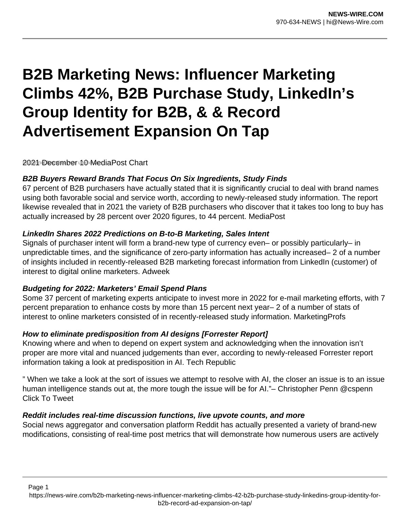# **B2B Marketing News: Influencer Marketing Climbs 42%, B2B Purchase Study, LinkedIn's Group Identity for B2B, & & Record Advertisement Expansion On Tap**

2021 December 10 MediaPost Chart

## **B2B Buyers Reward Brands That Focus On Six Ingredients, Study Finds**

67 percent of B2B purchasers have actually stated that it is significantly crucial to deal with brand names using both favorable social and service worth, according to newly-released study information. The report likewise revealed that in 2021 the variety of B2B purchasers who discover that it takes too long to buy has actually increased by 28 percent over 2020 figures, to 44 percent. MediaPost

## **LinkedIn Shares 2022 Predictions on B-to-B Marketing, Sales Intent**

Signals of purchaser intent will form a brand-new type of currency even– or possibly particularly– in unpredictable times, and the significance of zero-party information has actually increased– 2 of a number of insights included in recently-released B2B marketing forecast information from LinkedIn (customer) of interest to digital online marketers. Adweek

# **Budgeting for 2022: Marketers' Email Spend Plans**

Some 37 percent of marketing experts anticipate to invest more in 2022 for e-mail marketing efforts, with 7 percent preparation to enhance costs by more than 15 percent next year– 2 of a number of stats of interest to online marketers consisted of in recently-released study information. MarketingProfs

# **How to eliminate predisposition from AI designs [Forrester Report]**

Knowing where and when to depend on expert system and acknowledging when the innovation isn't proper are more vital and nuanced judgements than ever, according to newly-released Forrester report information taking a look at predisposition in AI. Tech Republic

" When we take a look at the sort of issues we attempt to resolve with AI, the closer an issue is to an issue human intelligence stands out at, the more tough the issue will be for AI."– Christopher Penn @cspenn Click To Tweet

#### **Reddit includes real-time discussion functions, live upvote counts, and more**

Social news aggregator and conversation platform Reddit has actually presented a variety of brand-new modifications, consisting of real-time post metrics that will demonstrate how numerous users are actively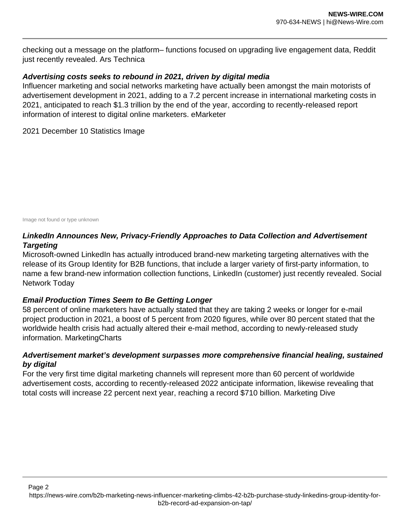checking out a message on the platform– functions focused on upgrading live engagement data, Reddit just recently revealed. Ars Technica

## **Advertising costs seeks to rebound in 2021, driven by digital media**

Influencer marketing and social networks marketing have actually been amongst the main motorists of advertisement development in 2021, adding to a 7.2 percent increase in international marketing costs in 2021, anticipated to reach \$1.3 trillion by the end of the year, according to recently-released report information of interest to digital online marketers. eMarketer

2021 December 10 Statistics Image

Image not found or type unknown

# **LinkedIn Announces New, Privacy-Friendly Approaches to Data Collection and Advertisement Targeting**

Microsoft-owned LinkedIn has actually introduced brand-new marketing targeting alternatives with the release of its Group Identity for B2B functions, that include a larger variety of first-party information, to name a few brand-new information collection functions, LinkedIn (customer) just recently revealed. Social Network Today

# **Email Production Times Seem to Be Getting Longer**

58 percent of online marketers have actually stated that they are taking 2 weeks or longer for e-mail project production in 2021, a boost of 5 percent from 2020 figures, while over 80 percent stated that the worldwide health crisis had actually altered their e-mail method, according to newly-released study information. MarketingCharts

## **Advertisement market's development surpasses more comprehensive financial healing, sustained by digital**

For the very first time digital marketing channels will represent more than 60 percent of worldwide advertisement costs, according to recently-released 2022 anticipate information, likewise revealing that total costs will increase 22 percent next year, reaching a record \$710 billion. Marketing Dive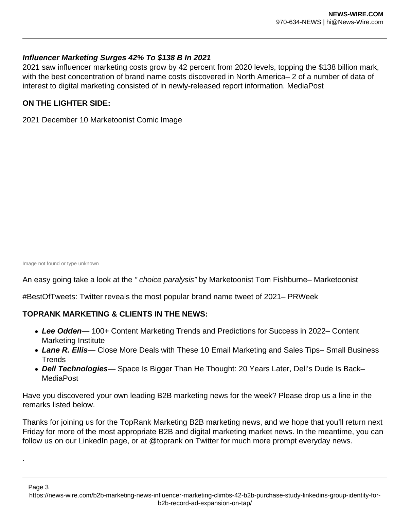## **Influencer Marketing Surges 42% To \$138 B In 2021**

2021 saw influencer marketing costs grow by 42 percent from 2020 levels, topping the \$138 billion mark, with the best concentration of brand name costs discovered in North America– 2 of a number of data of interest to digital marketing consisted of in newly-released report information. MediaPost

## **ON THE LIGHTER SIDE:**

2021 December 10 Marketoonist Comic Image

Image not found or type unknown

.

An easy going take a look at the " choice paralysis" by Marketoonist Tom Fishburne– Marketoonist

#BestOfTweets: Twitter reveals the most popular brand name tweet of 2021– PRWeek

# **TOPRANK MARKETING & CLIENTS IN THE NEWS:**

- **Lee Odden** 100+ Content Marketing Trends and Predictions for Success in 2022– Content Marketing Institute
- **Lane R. Ellis** Close More Deals with These 10 Email Marketing and Sales Tips– Small Business **Trends**
- **Dell Technologies** Space Is Bigger Than He Thought: 20 Years Later, Dell's Dude Is Back– MediaPost

Have you discovered your own leading B2B marketing news for the week? Please drop us a line in the remarks listed below.

Thanks for joining us for the TopRank Marketing B2B marketing news, and we hope that you'll return next Friday for more of the most appropriate B2B and digital marketing market news. In the meantime, you can follow us on our LinkedIn page, or at @toprank on Twitter for much more prompt everyday news.

Page 3 https://news-wire.com/b2b-marketing-news-influencer-marketing-climbs-42-b2b-purchase-study-linkedins-group-identity-forb2b-record-ad-expansion-on-tap/